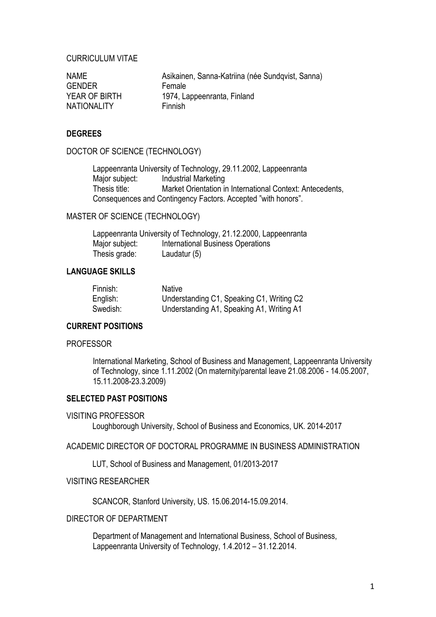## CURRICULUM VITAE

| <b>NAME</b>        | Asikainen, Sanna-Katriina (née Sundqvist, Sanna) |
|--------------------|--------------------------------------------------|
| <b>GENDER</b>      | Female                                           |
| YEAR OF BIRTH      | 1974, Lappeenranta, Finland                      |
| <b>NATIONALITY</b> | Finnish                                          |

## **DEGREES**

DOCTOR OF SCIENCE (TECHNOLOGY)

Lappeenranta University of Technology, 29.11.2002, Lappeenranta Major subject: Industrial Marketing Thesis title: Market Orientation in International Context: Antecedents, Consequences and Contingency Factors. Accepted "with honors".

## MASTER OF SCIENCE (TECHNOLOGY)

Lappeenranta University of Technology, 21.12.2000, Lappeenranta Major subject: International Business Operations Thesis grade: Laudatur (5)

### **LANGUAGE SKILLS**

| Finnish: | Native                                    |
|----------|-------------------------------------------|
| English: | Understanding C1, Speaking C1, Writing C2 |
| Swedish: | Understanding A1, Speaking A1, Writing A1 |

## **CURRENT POSITIONS**

#### **PROFESSOR**

International Marketing, School of Business and Management, Lappeenranta University of Technology, since 1.11.2002 (On maternity/parental leave 21.08.2006 - 14.05.2007, 15.11.2008-23.3.2009)

## **SELECTED PAST POSITIONS**

#### VISITING PROFESSOR

Loughborough University, School of Business and Economics, UK. 2014-2017

ACADEMIC DIRECTOR OF DOCTORAL PROGRAMME IN BUSINESS ADMINISTRATION

LUT, School of Business and Management, 01/2013-2017

## VISITING RESEARCHER

SCANCOR, Stanford University, US. 15.06.2014-15.09.2014.

#### DIRECTOR OF DEPARTMENT

Department of Management and International Business, School of Business, Lappeenranta University of Technology, 1.4.2012 – 31.12.2014.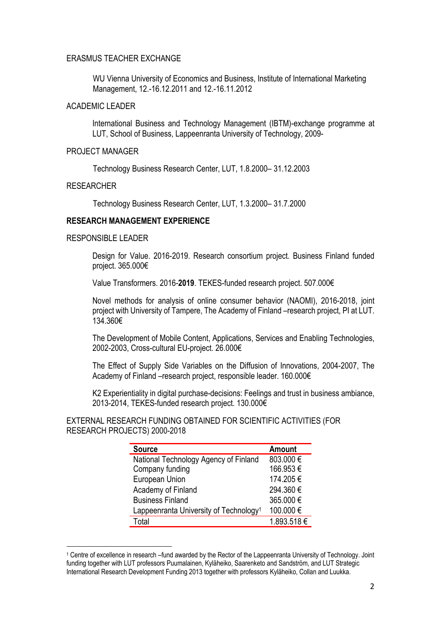### ERASMUS TEACHER EXCHANGE

WU Vienna University of Economics and Business, Institute of International Marketing Management, 12.-16.12.2011 and 12.-16.11.2012

#### ACADEMIC LEADER

International Business and Technology Management (IBTM)-exchange programme at LUT, School of Business, Lappeenranta University of Technology, 2009-

#### PROJECT MANAGER

Technology Business Research Center, LUT, 1.8.2000– 31.12.2003

#### RESEARCHER

Technology Business Research Center, LUT, 1.3.2000– 31.7.2000

## **RESEARCH MANAGEMENT EXPERIENCE**

#### RESPONSIBLE LEADER

Design for Value. 2016-2019. Research consortium project. Business Finland funded project. 365.000€

Value Transformers. 2016-**2019**. TEKES-funded research project. 507.000€

Novel methods for analysis of online consumer behavior (NAOMI), 2016-2018, joint project with University of Tampere, The Academy of Finland –research project, PI at LUT. 134.360€

The Development of Mobile Content, Applications, Services and Enabling Technologies, 2002-2003, Cross-cultural EU-project. 26.000€

The Effect of Supply Side Variables on the Diffusion of Innovations, 2004-2007, The Academy of Finland –research project, responsible leader. 160.000€

K2 Experientiality in digital purchase-decisions: Feelings and trust in business ambiance, 2013-2014, TEKES-funded research project. 130.000€

EXTERNAL RESEARCH FUNDING OBTAINED FOR SCIENTIFIC ACTIVITIES (FOR RESEARCH PROJECTS) 2000-2018

| <b>Amount</b> |
|---------------|
| 803.000€      |
| 166.953€      |
| 174.205€      |
| 294.360€      |
| 365.000€      |
| 100.000€      |
| 1.893.518€    |
|               |

<sup>1</sup> Centre of excellence in research –fund awarded by the Rector of the Lappeenranta University of Technology. Joint funding together with LUT professors Puumalainen, Kyläheiko, Saarenketo and Sandström, and LUT Strategic International Research Development Funding 2013 together with professors Kyläheiko, Collan and Luukka.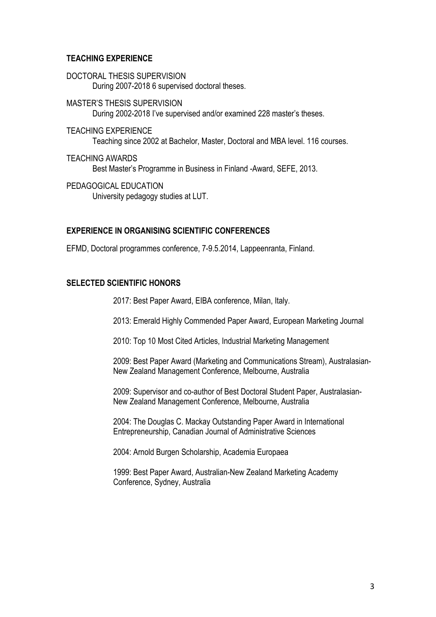## **TEACHING EXPERIENCE**

- DOCTORAL THESIS SUPERVISION During 2007-2018 6 supervised doctoral theses.
- MASTER'S THESIS SUPERVISION During 2002-2018 I've supervised and/or examined 228 master's theses.
- TEACHING EXPERIENCE Teaching since 2002 at Bachelor, Master, Doctoral and MBA level. 116 courses.
- TEACHING AWARDS Best Master's Programme in Business in Finland -Award, SEFE, 2013.
- PEDAGOGICAL EDUCATION University pedagogy studies at LUT.

#### **EXPERIENCE IN ORGANISING SCIENTIFIC CONFERENCES**

EFMD, Doctoral programmes conference, 7-9.5.2014, Lappeenranta, Finland.

#### **SELECTED SCIENTIFIC HONORS**

2017: Best Paper Award, EIBA conference, Milan, Italy.

2013: Emerald Highly Commended Paper Award, European Marketing Journal

2010: Top 10 Most Cited Articles, Industrial Marketing Management

2009: Best Paper Award (Marketing and Communications Stream), Australasian-New Zealand Management Conference, Melbourne, Australia

2009: Supervisor and co-author of Best Doctoral Student Paper, Australasian-New Zealand Management Conference, Melbourne, Australia

2004: The Douglas C. Mackay Outstanding Paper Award in International Entrepreneurship, Canadian Journal of Administrative Sciences

2004: Arnold Burgen Scholarship, Academia Europaea

1999: Best Paper Award, Australian-New Zealand Marketing Academy Conference, Sydney, Australia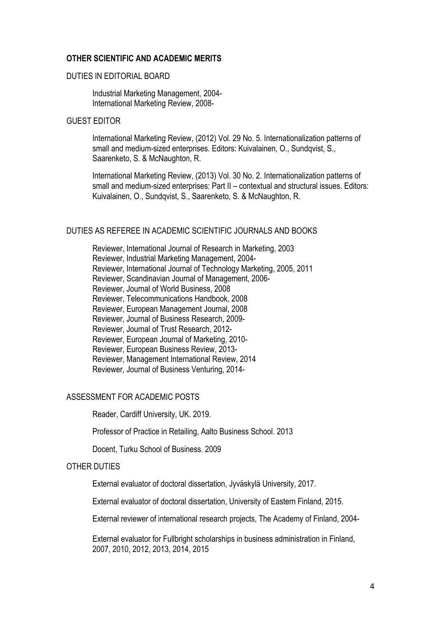## **OTHER SCIENTIFIC AND ACADEMIC MERITS**

#### DUTIES IN EDITORIAL BOARD

Industrial Marketing Management, 2004- International Marketing Review, 2008-

### GUEST EDITOR

International Marketing Review, (2012) Vol. 29 No. 5. Internationalization patterns of small and medium-sized enterprises. Editors: Kuivalainen, O., Sundqvist, S., Saarenketo, S. & McNaughton, R.

International Marketing Review, (2013) Vol. 30 No. 2. Internationalization patterns of small and medium-sized enterprises: Part II – contextual and structural issues. Editors: Kuivalainen, O., Sundqvist, S., Saarenketo, S. & McNaughton, R.

### DUTIES AS REFEREE IN ACADEMIC SCIENTIFIC JOURNALS AND BOOKS

Reviewer, International Journal of Research in Marketing, 2003 Reviewer, Industrial Marketing Management, 2004- Reviewer, International Journal of Technology Marketing, 2005, 2011 Reviewer, Scandinavian Journal of Management, 2006- Reviewer, Journal of World Business, 2008 Reviewer, Telecommunications Handbook, 2008 Reviewer, European Management Journal, 2008 Reviewer, Journal of Business Research, 2009- Reviewer, Journal of Trust Research, 2012- Reviewer, European Journal of Marketing, 2010- Reviewer, European Business Review, 2013- Reviewer, Management International Review, 2014 Reviewer, Journal of Business Venturing, 2014-

#### ASSESSMENT FOR ACADEMIC POSTS

Reader, Cardiff University, UK. 2019.

Professor of Practice in Retailing, Aalto Business School. 2013

Docent, Turku School of Business. 2009

#### OTHER DUTIES

External evaluator of doctoral dissertation, Jyväskylä University, 2017.

External evaluator of doctoral dissertation, University of Eastern Finland, 2015.

External reviewer of international research projects, The Academy of Finland, 2004-

External evaluator for Fullbright scholarships in business administration in Finland, 2007, 2010, 2012, 2013, 2014, 2015